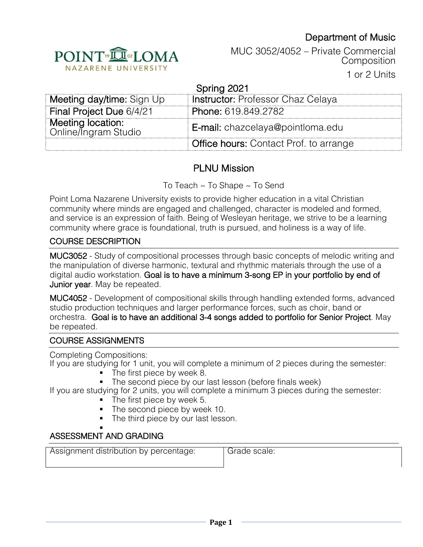# Department of Music



MUC 3052/4052 – Private Commercial **Composition** 

1 or 2 Units

| Spring 2021                               |                                               |  |
|-------------------------------------------|-----------------------------------------------|--|
| Meeting day/time: Sign Up                 | <b>Instructor: Professor Chaz Celaya</b>      |  |
| Final Project Due 6/4/21                  | Phone: 619.849.2782                           |  |
| Meeting location:<br>Online/Ingram Studio | E-mail: chazcelaya@pointloma.edu              |  |
|                                           | <b>Office hours: Contact Prof. to arrange</b> |  |

# PLNU Mission

To Teach ~ To Shape ~ To Send

Point Loma Nazarene University exists to provide higher education in a vital Christian community where minds are engaged and challenged, character is modeled and formed, and service is an expression of faith. Being of Wesleyan heritage, we strive to be a learning community where grace is foundational, truth is pursued, and holiness is a way of life.

### COURSE DESCRIPTION

MUC3052 - Study of compositional processes through basic concepts of melodic writing and the manipulation of diverse harmonic, textural and rhythmic materials through the use of a digital audio workstation. Goal is to have a minimum 3-song EP in your portfolio by end of Junior year. May be repeated.

MUC4052 - Development of compositional skills through handling extended forms, advanced studio production techniques and larger performance forces, such as choir, band or orchestra. Goal is to have an additional 3-4 songs added to portfolio for Senior Project. May be repeated.

### COURSE ASSIGNMENTS

Completing Compositions: If you are studying for 1 unit, you will complete a minimum of 2 pieces during the semester:

- The first piece by week 8.
- The second piece by our last lesson (before finals week)

If you are studying for 2 units, you will complete a minimum 3 pieces during the semester:

- The first piece by week 5.
- The second piece by week 10.
- The third piece by our last lesson.

#### § ASSESSMENT AND GRADING

Assignment distribution by percentage: | Grade scale: